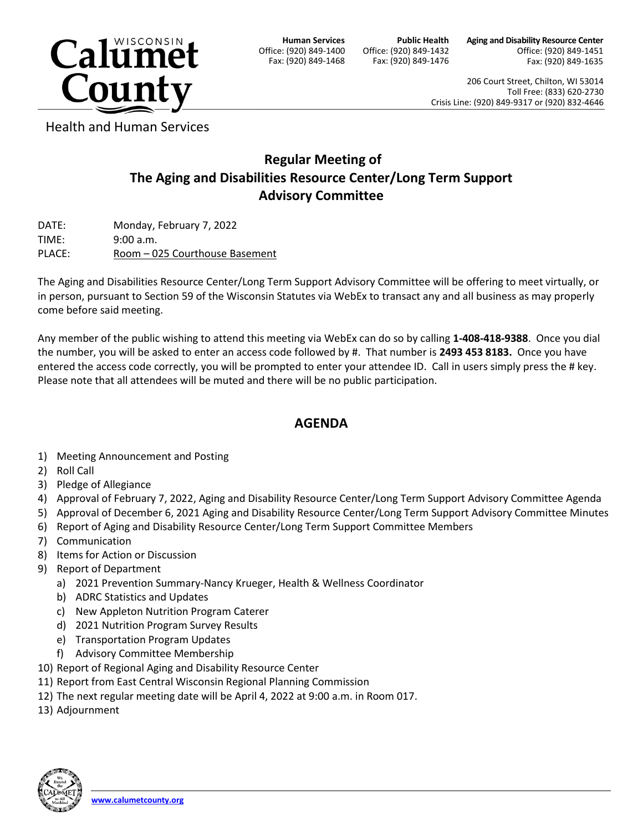

**Human Services** Office: (920) 849-1400 Fax: (920) 849-1468

**Public Health** Office: (920) 849-1432 Fax: (920) 849-1476 **Aging and Disability Resource Center** Office: (920) 849-1451 Fax: (920) 849-1635

206 Court Street, Chilton, WI 53014 Toll Free: (833) 620-2730 Crisis Line: (920) 849-9317 or (920) 832-4646

Health and Human Services

## **Regular Meeting of The Aging and Disabilities Resource Center/Long Term Support Advisory Committee**

DATE: Monday, February 7, 2022 TIME: 9:00 a.m. PLACE: Room - 025 Courthouse Basement

The Aging and Disabilities Resource Center/Long Term Support Advisory Committee will be offering to meet virtually, or in person, pursuant to Section 59 of the Wisconsin Statutes via WebEx to transact any and all business as may properly come before said meeting.

Any member of the public wishing to attend this meeting via WebEx can do so by calling **1-408-418-9388**. Once you dial the number, you will be asked to enter an access code followed by #. That number is **2493 453 8183.** Once you have entered the access code correctly, you will be prompted to enter your attendee ID. Call in users simply press the # key. Please note that all attendees will be muted and there will be no public participation.

## **AGENDA**

- 1) Meeting Announcement and Posting
- 2) Roll Call
- 3) Pledge of Allegiance
- 4) Approval of February 7, 2022, Aging and Disability Resource Center/Long Term Support Advisory Committee Agenda
- 5) Approval of December 6, 2021 Aging and Disability Resource Center/Long Term Support Advisory Committee Minutes
- 6) Report of Aging and Disability Resource Center/Long Term Support Committee Members
- 7) Communication
- 8) Items for Action or Discussion
- 9) Report of Department
	- a) 2021 Prevention Summary-Nancy Krueger, Health & Wellness Coordinator
	- b) ADRC Statistics and Updates
	- c) New Appleton Nutrition Program Caterer
	- d) 2021 Nutrition Program Survey Results
	- e) Transportation Program Updates
	- f) Advisory Committee Membership
- 10) Report of Regional Aging and Disability Resource Center
- 11) Report from East Central Wisconsin Regional Planning Commission
- 12) The next regular meeting date will be April 4, 2022 at 9:00 a.m. in Room 017.
- 13) Adjournment